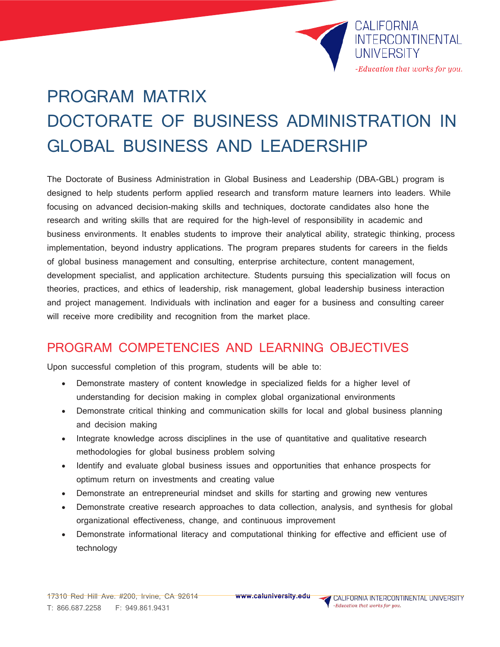

# PROGRAM MATRIX DOCTORATE OF BUSINESS ADMINISTRATION IN GLOBAL BUSINESS AND LEADERSHIP

The Doctorate of Business Administration in Global Business and Leadership (DBA-GBL) program is designed to help students perform applied research and transform mature learners into leaders. While focusing on advanced decision-making skills and techniques, doctorate candidates also hone the research and writing skills that are required for the high-level of responsibility in academic and business environments. It enables students to improve their analytical ability, strategic thinking, process implementation, beyond industry applications. The program prepares students for careers in the fields of global business management and consulting, enterprise architecture, content management, development specialist, and application architecture. Students pursuing this specialization will focus on theories, practices, and ethics of leadership, risk management, global leadership business interaction and project management. Individuals with inclination and eager for a business and consulting career will receive more credibility and recognition from the market place.

### PROGRAM COMPETENCIES AND LEARNING OBJECTIVES

Upon successful completion of this program, students will be able to:

- Demonstrate mastery of content knowledge in specialized fields for a higher level of understanding for decision making in complex global organizational environments
- Demonstrate critical thinking and communication skills for local and global business planning and decision making
- Integrate knowledge across disciplines in the use of quantitative and qualitative research methodologies for global business problem solving
- Identify and evaluate global business issues and opportunities that enhance prospects for optimum return on investments and creating value
- Demonstrate an entrepreneurial mindset and skills for starting and growing new ventures
- Demonstrate creative research approaches to data collection, analysis, and synthesis for global organizational effectiveness, change, and continuous improvement
- Demonstrate informational literacy and computational thinking for effective and efficient use of technology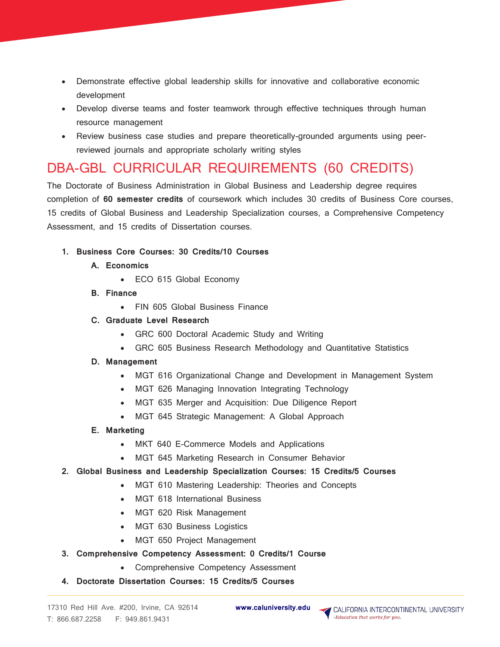- Demonstrate effective global leadership skills for innovative and collaborative economic development
- Develop diverse teams and foster teamwork through effective techniques through human resource management
- Review business case studies and prepare theoretically-grounded arguments using peerreviewed journals and appropriate scholarly writing styles

## DBA-GBL CURRICULAR REQUIREMENTS (60 CREDITS)

The Doctorate of Business Administration in Global Business and Leadership degree requires completion of **60 semester credits** of coursework which includes 30 credits of Business Core courses, 15 credits of Global Business and Leadership Specialization courses, a Comprehensive Competency Assessment, and 15 credits of Dissertation courses.

**1. Business Core Courses: 30 Credits/10 Courses** 

#### **A. Economics**

- ECO 615 Global Economy
- **B. Finance** 
	- FIN 605 Global Business Finance

#### **C. Graduate Level Research**

- GRC 600 Doctoral Academic Study and Writing
- GRC 605 Business Research Methodology and Quantitative Statistics

#### **D. Management**

- MGT 616 Organizational Change and Development in Management System
- MGT 626 Managing Innovation Integrating Technology
- MGT 635 Merger and Acquisition: Due Diligence Report
- MGT 645 Strategic Management: A Global Approach

#### **E. Marketing**

- MKT 640 E-Commerce Models and Applications
- MGT 645 Marketing Research in Consumer Behavior
- **2. Global Business and Leadership Specialization Courses: 15 Credits/5 Courses** 
	- MGT 610 Mastering Leadership: Theories and Concepts
	- MGT 618 International Business
	- MGT 620 Risk Management
	- MGT 630 Business Logistics
	- MGT 650 Project Management
- **3. Comprehensive Competency Assessment: 0 Credits/1 Course** 
	- Comprehensive Competency Assessment
- **4. Doctorate Dissertation Courses: 15 Credits/5 Courses**